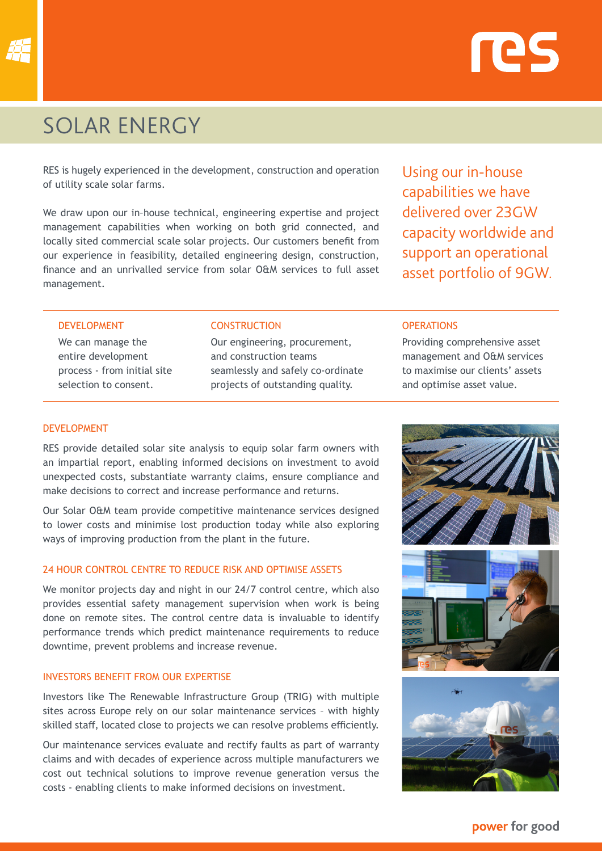



# SOLAR ENERGY

RES is hugely experienced in the development, construction and operation of utility scale solar farms.

We draw upon our in–house technical, engineering expertise and project management capabilities when working on both grid connected, and locally sited commercial scale solar projects. Our customers benefit from our experience in feasibility, detailed engineering design, construction, finance and an unrivalled service from solar O&M services to full asset management.

Using our in-house capabilities we have delivered over 23GW capacity worldwide and support an operational asset portfolio of 9GW.

#### DEVELOPMENT

We can manage the entire development process - from initial site selection to consent.

#### **CONSTRUCTION**

Our engineering, procurement, and construction teams seamlessly and safely co-ordinate projects of outstanding quality.

#### **OPERATIONS**

Providing comprehensive asset management and O&M services to maximise our clients' assets and optimise asset value.

#### DEVELOPMENT

RES provide detailed solar site analysis to equip solar farm owners with an impartial report, enabling informed decisions on investment to avoid unexpected costs, substantiate warranty claims, ensure compliance and make decisions to correct and increase performance and returns.

Our Solar O&M team provide competitive maintenance services designed to lower costs and minimise lost production today while also exploring ways of improving production from the plant in the future.

## 24 HOUR CONTROL CENTRE TO REDUCE RISK AND OPTIMISE ASSETS

We monitor projects day and night in our 24/7 control centre, which also provides essential safety management supervision when work is being done on remote sites. The control centre data is invaluable to identify performance trends which predict maintenance requirements to reduce downtime, prevent problems and increase revenue.

#### INVESTORS BENEFIT FROM OUR EXPERTISE

Investors like The Renewable Infrastructure Group (TRIG) with multiple sites across Europe rely on our solar maintenance services – with highly skilled staff, located close to projects we can resolve problems efficiently.

Our maintenance services evaluate and rectify faults as part of warranty claims and with decades of experience across multiple manufacturers we cost out technical solutions to improve revenue generation versus the costs - enabling clients to make informed decisions on investment.







power for good